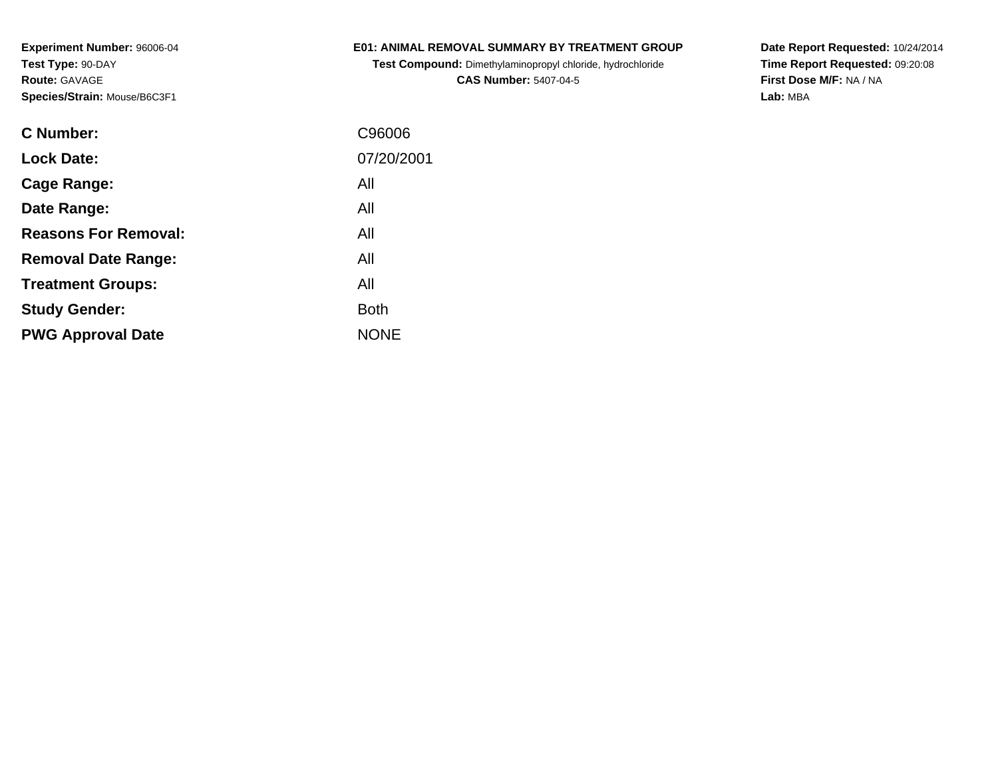## **E01: ANIMAL REMOVAL SUMMARY BY TREATMENT GROUP**

**Test Compound:** Dimethylaminopropyl chloride, hydrochloride**CAS Number:** 5407-04-5

| C Number:                   | C96006      |
|-----------------------------|-------------|
| <b>Lock Date:</b>           | 07/20/2001  |
| Cage Range:                 | All         |
| Date Range:                 | All         |
| <b>Reasons For Removal:</b> | All         |
| <b>Removal Date Range:</b>  | All         |
| <b>Treatment Groups:</b>    | All         |
| <b>Study Gender:</b>        | <b>Both</b> |
| <b>PWG Approval Date</b>    | <b>NONE</b> |
|                             |             |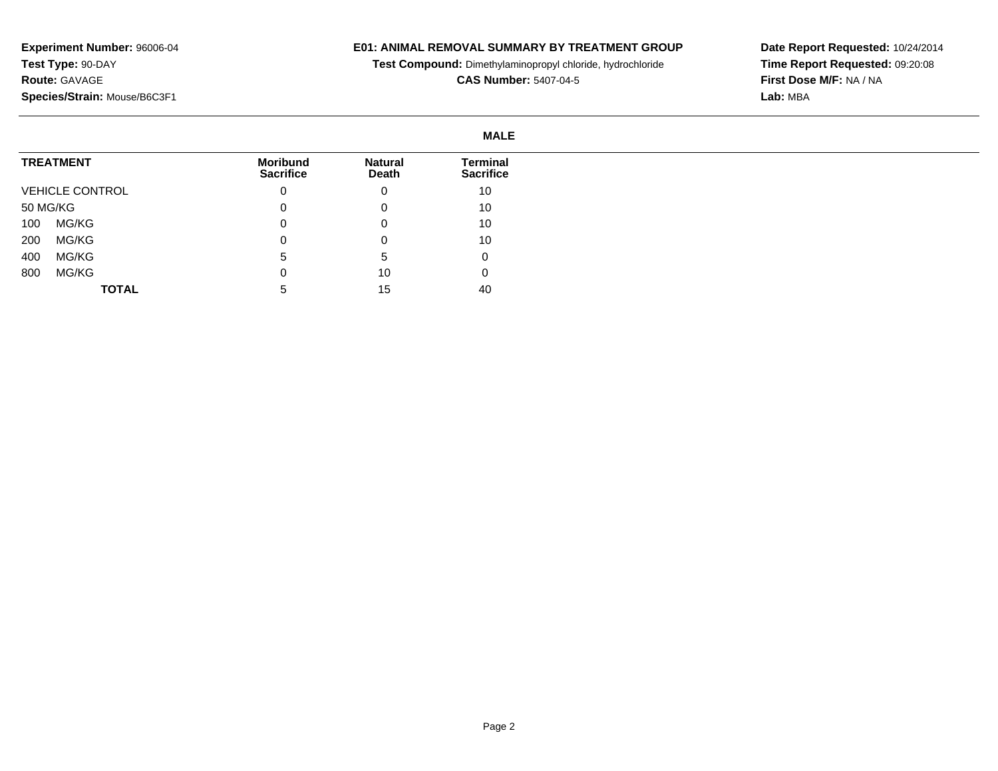## **E01: ANIMAL REMOVAL SUMMARY BY TREATMENT GROUP**

**Test Compound:** Dimethylaminopropyl chloride, hydrochloride

**CAS Number:** 5407-04-5

|                        |                                     |                         | <b>MALE</b>                  |
|------------------------|-------------------------------------|-------------------------|------------------------------|
| <b>TREATMENT</b>       | <b>Moribund</b><br><b>Sacrifice</b> | <b>Natural</b><br>Death | Terminal<br><b>Sacrifice</b> |
| <b>VEHICLE CONTROL</b> | 0                                   | 0                       | 10                           |
| 50 MG/KG               | 0                                   | 0                       | 10                           |
| MG/KG<br>100           | 0                                   | 0                       | 10                           |
| MG/KG<br>200           | 0                                   | 0                       | 10                           |
| MG/KG<br>400           | 5                                   | 5                       | 0                            |
| MG/KG<br>800           | 0                                   | 10                      | 0                            |
| <b>TOTAL</b>           | 5                                   | 15                      | 40                           |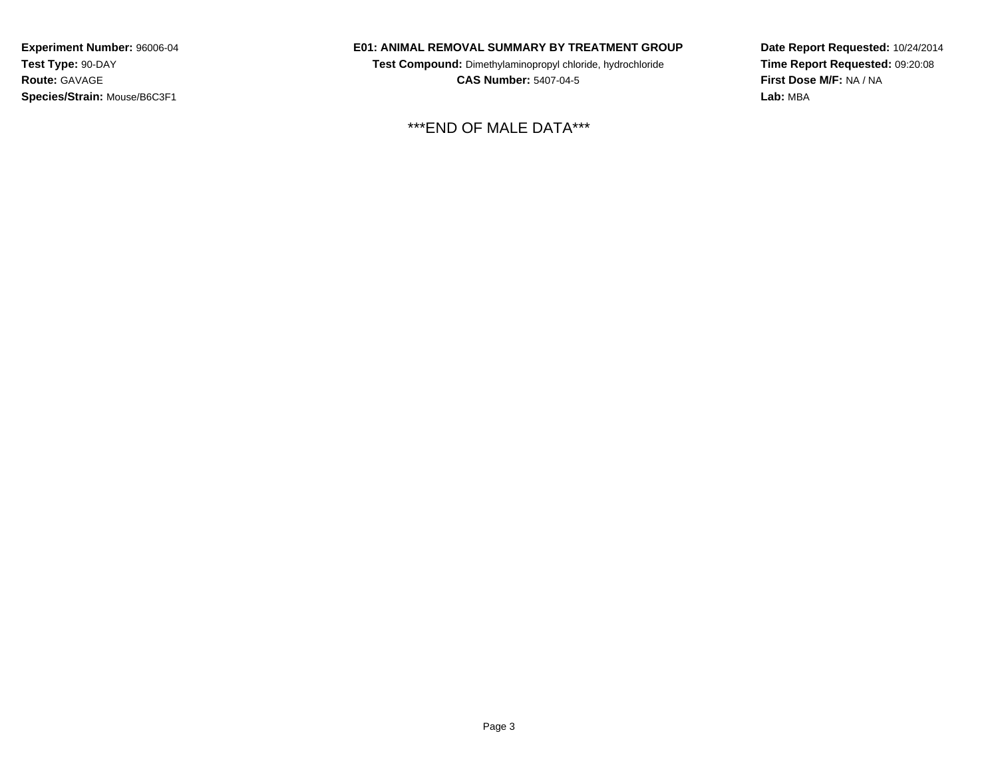### **E01: ANIMAL REMOVAL SUMMARY BY TREATMENT GROUP**

**Test Compound:** Dimethylaminopropyl chloride, hydrochloride**CAS Number:** 5407-04-5

\*\*\*END OF MALE DATA\*\*\*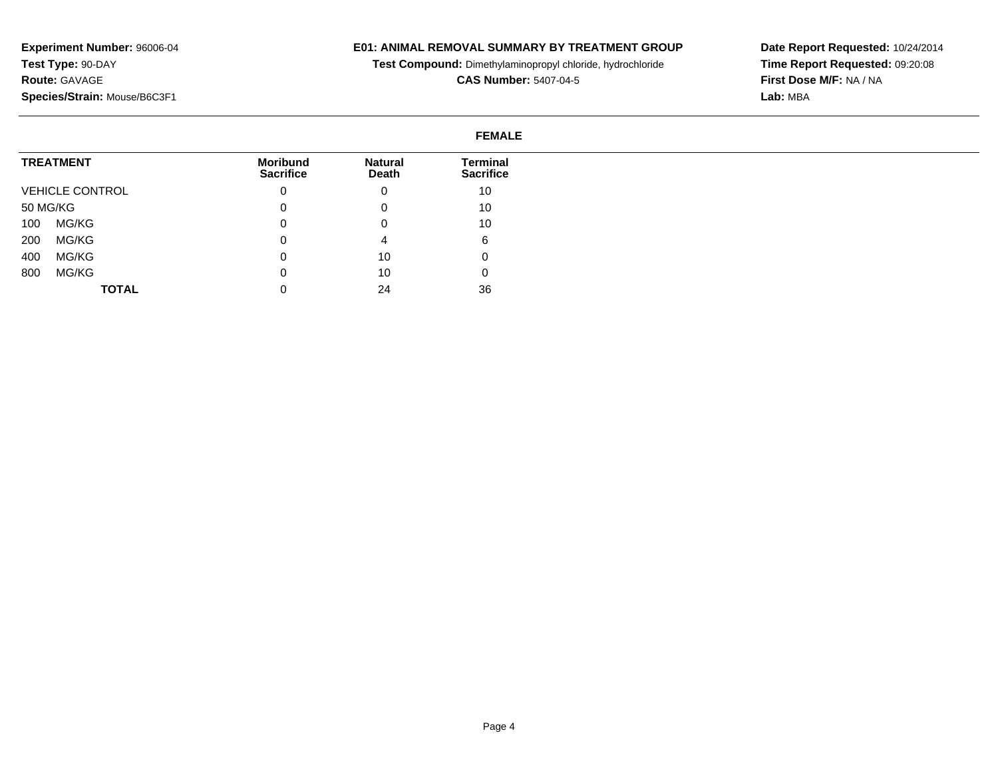#### **E01: ANIMAL REMOVAL SUMMARY BY TREATMENT GROUP**

**Test Compound:** Dimethylaminopropyl chloride, hydrochloride

**CAS Number:** 5407-04-5

**Date Report Requested:** 10/24/2014**Time Report Requested:** 09:20:08**First Dose M/F:** NA / NA**Lab:** MBA

#### **FEMALETREATMENT**VEHICLE CONTROL50 MG/KG 100 MG/KG 200 MG/KG 400 MG/KG 800 MG/KG**TOTALMoribund Sacrifice**0 $\overline{0}$  $\overline{0}$  0 $\overline{0}$  $\overline{0}$  0**Natural Death**0 0 0 4 10 10 24**Terminal Sacrifice**10 10 10 6 0 036